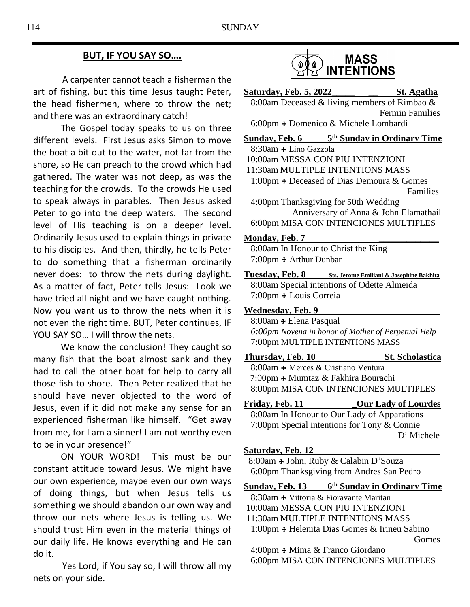## **BUT, IF YOU SAY SO….**

 A carpenter cannot teach a fisherman the art of fishing, but this time Jesus taught Peter, the head fishermen, where to throw the net; and there was an extraordinary catch!

The Gospel today speaks to us on three different levels. First Jesus asks Simon to move the boat a bit out to the water, not far from the shore, so He can preach to the crowd which had gathered. The water was not deep, as was the teaching for the crowds. To the crowds He used to speak always in parables. Then Jesus asked Peter to go into the deep waters. The second level of His teaching is on a deeper level. Ordinarily Jesus used to explain things in private to his disciples. And then, thirdly, he tells Peter to do something that a fisherman ordinarily never does: to throw the nets during daylight. As a matter of fact, Peter tells Jesus: Look we have tried all night and we have caught nothing. Now you want us to throw the nets when it is not even the right time. BUT, Peter continues, IF YOU SAY SO... I will throw the nets.

We know the conclusion! They caught so many fish that the boat almost sank and they had to call the other boat for help to carry all those fish to shore. Then Peter realized that he should have never objected to the word of Jesus, even if it did not make any sense for an experienced fisherman like himself. "Get away from me, for I am a sinner! I am not worthy even to be in your presence!"

ON YOUR WORD! This must be our constant attitude toward Jesus. We might have our own experience, maybe even our own ways of doing things, but when Jesus tells us something we should abandon our own way and throw our nets where Jesus is telling us. We should trust Him even in the material things of our daily life. He knows everything and He can do it.

 Yes Lord, if You say so, I will throw all my nets on your side.



**Saturday, Feb. 5, 2022\_\_\_\_\_ \_\_ St. Agatha** 8:00am Deceased & living members of Rimbao & Fermin Families 6:00pm **+** Domenico & Michele Lombardi

**Sunday, Feb. 6 th Sunday in Ordinary Time**

- 8:30am **+** Lino Gazzola
- 10:00am MESSA CON PIU INTENZIONI
- 11:30am MULTIPLE INTENTIONS MASS

 1:00pm **+** Deceased of Dias Demoura & Gomes Families

 4:00pm Thanksgiving for 50th Wedding Anniversary of Anna & John Elamathail 6:00pm MISA CON INTENCIONES MULTIPLES

#### **Monday, Feb. 7 \_\_\_\_\_\_\_\_\_\_\_\_\_**

8:00am In Honour to Christ the King 7:00pm **+** Arthur Dunbar

**Tuesday, Feb. 8 Sts. Jerome Emiliani & Josephine Bakhita** 8:00am Special intentions of Odette Almeida 7:00pm **+** Louis Correia

#### **Wednesday, Feb. 9\_\_\_ \_\_\_\_\_\_\_\_\_\_\_\_\_\_\_\_\_\_\_\_\_\_**

8:00am **+** Elena Pasqual *6:00pm Novena in honor of Mother of Perpetual Help* 7:00pm MULTIPLE INTENTIONS MASS

**Thursday, Feb. 10 St. Scholastica**

 8:00am **+** Merces & Cristiano Ventura 7:00pm **+** Mumtaz & Fakhira Bourachi 8:00pm MISA CON INTENCIONES MULTIPLES

**Friday, Feb. 11 \_Our Lady of Lourdes**

8:00am In Honour to Our Lady of Apparations 7:00pm Special intentions for Tony & Connie Di Michele

### **Saturday, Feb. 12 \_\_\_\_\_\_ \_\_ \_\_\_\_\_\_\_\_\_**

8:00am **+** John, Ruby & Calabin D'Souza 6:00pm Thanksgiving from Andres San Pedro

**Sunday, Feb. 13 6 th Sunday in Ordinary Time**

8:30am **+** Vittoria & Fioravante Maritan 10:00am MESSA CON PIU INTENZIONI

11:30am MULTIPLE INTENTIONS MASS 1:00pm **+** Helenita Dias Gomes & Irineu Sabino

 4:00pm **+** Mima & Franco Giordano 6:00pm MISA CON INTENCIONES MULTIPLES

Gomes